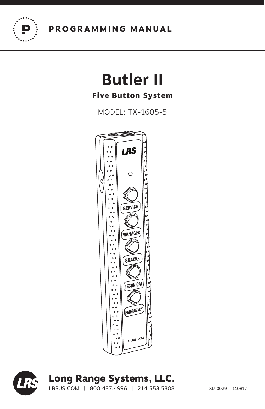

# **Butler II**

# **Five Button System**

MODEL: TX-1605-5





# **Long Range Systems, LLC.**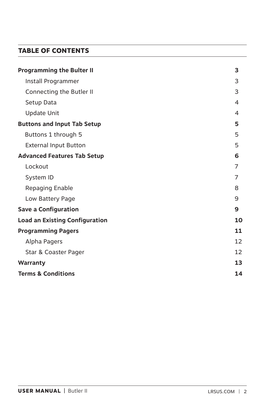# **TABLE OF CONTENTS**

| <b>Programming the Bulter II</b>      | 3  |
|---------------------------------------|----|
| Install Programmer                    | 3  |
| Connecting the Butler II              | 3  |
| Setup Data                            | 4  |
| <b>Update Unit</b>                    | 4  |
| <b>Buttons and Input Tab Setup</b>    | 5  |
| Buttons 1 through 5                   | 5  |
| <b>External Input Button</b>          | 5  |
| <b>Advanced Features Tab Setup</b>    | 6  |
| Lockout                               | 7  |
| System ID                             | 7  |
| Repaging Enable                       | 8  |
| Low Battery Page                      | 9  |
| <b>Save a Configuration</b>           | 9  |
| <b>Load an Existing Configuration</b> | 10 |
| <b>Programming Pagers</b>             | 11 |
| Alpha Pagers                          | 12 |
| Star & Coaster Pager                  | 12 |
| Warranty                              | 13 |
| <b>Terms &amp; Conditions</b>         | 14 |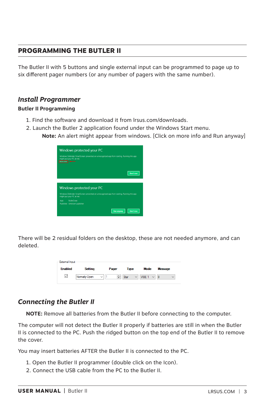# **PROGRAMMING THE BUTLER II**

The Butler II with 5 buttons and single external input can be programmed to page up to six different pager numbers (or any number of pagers with the same number).

## *Install Programmer*

#### **Butler II Programming**

- 1. Find the software and download it from lrsus.com/downloads.
- 2. Launch the Butler 2 application found under the Windows Start menu.

**Note:** An alert might appear from windows. [Click on more info and Run anyway]

| Windows protected your PC<br>Windows Defender SmartScreen prevented an unrecognized app from starting. Running this app<br>might put your PC at risk.<br>More info <b>demand</b> |
|----------------------------------------------------------------------------------------------------------------------------------------------------------------------------------|
| Don't run                                                                                                                                                                        |
| Windows protected your PC                                                                                                                                                        |
| Windows Defender SmartScreen prevented an unrecognized app from starting. Running this app<br>might put your PC at risk.                                                         |
| <b>Rutler2 exer</b><br>App:<br>Publisher: Unknown publisher                                                                                                                      |
| <b>Run anyway</b><br>Don't run                                                                                                                                                   |

There will be 2 residual folders on the desktop, these are not needed anymore, and can deleted.

| External Input |                |              |                           |             |                |
|----------------|----------------|--------------|---------------------------|-------------|----------------|
| <b>Enabled</b> | <b>Setting</b> | Pager        | Type                      | <b>Mode</b> | <b>Message</b> |
| ▽              | Nomally Open   | $\checkmark$ | ÷<br>Star<br>$\checkmark$ | VIBE 1      | $\checkmark$   |

# *Connecting the Butler II*

**NOTE:** Remove all batteries from the Butler II before connecting to the computer.

The computer will not detect the Butler II properly if batteries are still in when the Butler II is connected to the PC. Push the ridged button on the top end of the Butler II to remove the cover.

You may insert batteries AFTER the Butler II is connected to the PC.

- 1. Open the Butler II programmer (double click on the Icon).
- 2. Connect the USB cable from the PC to the Butler II.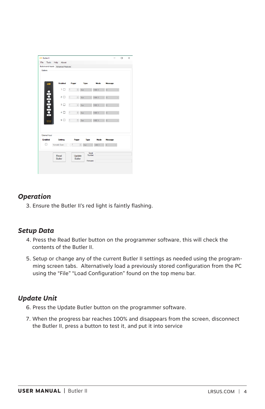| Buttons and Inputs Advanced Features<br>-Buttons |                |                            |                                |        |              |  |
|--------------------------------------------------|----------------|----------------------------|--------------------------------|--------|--------------|--|
|                                                  |                |                            |                                |        |              |  |
|                                                  |                |                            |                                |        |              |  |
| LRS                                              | Enabled        |                            | Pager Type                     | Mode   | Message      |  |
|                                                  | 1日             | $\frac{1}{2}$<br>$\vert$ 1 | Star<br>$\sim$                 | VIBE 1 | $\theta$     |  |
|                                                  | 2 口            | $\frac{\Lambda}{2}$<br>h.  | 9a                             | VIBE 1 | $\mathsf{D}$ |  |
| <b>Dependence</b>                                | 3 □            | $1 - 1$                    | $\div$ 9ar                     | VIBE 1 | O            |  |
|                                                  | 4 口            | T<br>$\frac{\Lambda}{\pi}$ | Sor                            | VIBE 1 | $\theta$     |  |
|                                                  | $5\Box$        | ÷<br>Ŧ                     | $S\alpha$                      | VIBE 1 | $\theta$     |  |
| External Input                                   |                |                            |                                |        |              |  |
| <b>Frushled</b>                                  | Setting        | Pager                      | Type                           | Mode   | Message      |  |
| п                                                | Normally Open  | $\overline{1}$<br>$\sim$   | Ŀ.<br>Star                     | VIBE 1 | n.           |  |
|                                                  | Read<br>Butler | Update<br><b>Rutler</b>    | Serial<br>Number:<br>Firmware: |        |              |  |

# *Operation*

3. Ensure the Butler II's red light is faintly flashing.

# *Setup Data*

- 4. Press the Read Butler button on the programmer software, this will check the contents of the Butler II.
- 5. Setup or change any of the current Butler II settings as needed using the programming screen tabs. Alternatively load a previously stored configuration from the PC using the "File" "Load Configuration" found on the top menu bar.

# *Update Unit*

- 6. Press the Update Butler button on the programmer software.
- 7. When the progress bar reaches 100% and disappears from the screen, disconnect the Butler II, press a button to test it, and put it into service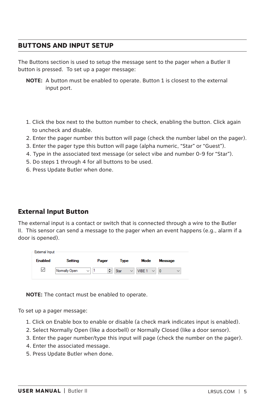# **BUTTONS AND INPUT SETUP**

The Buttons section is used to setup the message sent to the pager when a Butler II button is pressed. To set up a pager message:

- **NOTE:** A button must be enabled to operate. Button 1 is closest to the external input port.
- 1. Click the box next to the button number to check, enabling the button. Click again to uncheck and disable.
- 2. Enter the pager number this button will page (check the number label on the pager).
- 3. Enter the pager type this button will page (alpha numeric, "Star" or "Guest").
- 4. Type in the associated text message (or select vibe and number 0-9 for "Star").
- 5. Do steps 1 through 4 for all buttons to be used.
- 6. Press Update Butler when done.

#### **External Input Button**

The external input is a contact or switch that is connected through a wire to the Butler II. This sensor can send a message to the pager when an event happens (e.g., alarm if a door is opened).

| External Input |                |                   |                      |                        |                                |
|----------------|----------------|-------------------|----------------------|------------------------|--------------------------------|
| <b>Enabled</b> | <b>Setting</b> | Pager             | Type                 | Mode                   | <b>Message</b>                 |
| $\checkmark$   | Normally Open  | ÷۱<br>$\check{ }$ | Star<br>$\checkmark$ | VIBE 1<br>$\checkmark$ | $\overline{0}$<br>$\checkmark$ |

**NOTE:** The contact must be enabled to operate.

To set up a pager message:

- 1. Click on Enable box to enable or disable (a check mark indicates input is enabled).
- 2. Select Normally Open (like a doorbell) or Normally Closed (like a door sensor).
- 3. Enter the pager number/type this input will page (check the number on the pager).
- 4. Enter the associated message.
- 5. Press Update Butler when done.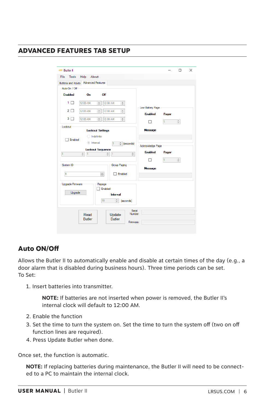# **ADVANCED FEATURES TAB SETUP**

| <b>LRS</b> Butler II                                                                   |                  |       | П                     | $\times$ |
|----------------------------------------------------------------------------------------|------------------|-------|-----------------------|----------|
| File<br><b>Tools</b><br>Help<br>About                                                  |                  |       |                       |          |
| Buttons and Inputs Advanced Features                                                   |                  |       |                       |          |
| Auto On / Off                                                                          |                  |       |                       |          |
| <b>Enabled</b><br>Off<br>On                                                            |                  |       |                       |          |
| 1 □<br>12:00 AM<br>12:00 AM<br>$\div$<br>$\frac{1}{\pi}$                               |                  |       |                       |          |
| 2 I<br>$\frac{1}{\pi}$<br>$\frac{4}{\pi}$<br>12:00 AM<br>12:00 AM<br>$\mathbf{I}$      | Low Battery Page |       |                       |          |
|                                                                                        | <b>Fnabled</b>   | Pager |                       |          |
| $\overline{3}$<br>12:00 AM<br>$\div$<br>12:00 AM<br>$\frac{1}{T}$<br>$\blacksquare$    |                  | h     | $\frac{\Delta}{\Psi}$ |          |
| Lockout                                                                                | <b>Message</b>   |       |                       |          |
| <b>Lockout Settings</b>                                                                |                  |       |                       |          |
| ndefinite<br>Enabled                                                                   |                  |       |                       |          |
| lnterval<br>t (seconds)<br>H.                                                          | Acknowledge Page |       |                       |          |
| <b>Lockout Sequence</b>                                                                | <b>Fnabled</b>   | Pager |                       |          |
| $\frac{1}{\pi}$<br>ī<br>$\frac{1}{\tau}$<br>$\frac{1}{\tau}$<br>$\vert$ 1<br>$\vert$ 1 |                  |       |                       |          |
| System ID<br>Group Paging                                                              |                  | 1     | $\hat{\mathbb{I}}$    |          |
|                                                                                        | <b>Message</b>   |       |                       |          |
| $\div$<br>h<br>Fnabled                                                                 |                  |       |                       |          |
|                                                                                        |                  |       |                       |          |
| Upgrade Firmware<br>Repage<br>Enabled                                                  |                  |       |                       |          |
| Upgrade<br><b>Interval</b>                                                             |                  |       |                       |          |
| 10<br>$\frac{1}{\nu}$<br>(seconds)                                                     |                  |       |                       |          |
|                                                                                        |                  |       |                       |          |
| Serial                                                                                 |                  |       |                       |          |
| Number:<br>Update<br>Read<br><b>Butler</b><br><b>Butler</b>                            |                  |       |                       |          |
| Firmware:                                                                              |                  |       |                       |          |
|                                                                                        |                  |       |                       |          |

# **Auto ON/Off**

Allows the Butler II to automatically enable and disable at certain times of the day (e.g., a door alarm that is disabled during business hours). Three time periods can be set. To Set:

1. Insert batteries into transmitter.

 **NOTE:** If batteries are not inserted when power is removed, the Butler II's internal clock will default to 12:00 AM.

- 2. Enable the function
- 3. Set the time to turn the system on. Set the time to turn the system off (two on off function lines are required).
- 4. Press Update Butler when done.

Once set, the function is automatic.

 **NOTE:** If replacing batteries during maintenance, the Butler II will need to be connected to a PC to maintain the internal clock.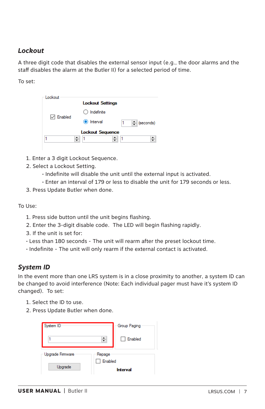# *Lockout*

A three digit code that disables the external sensor input (e.g., the door alarms and the staff disables the alarm at the Butler II) for a selected period of time.

To set:

| Lockout        |                         |
|----------------|-------------------------|
|                | <b>Lockout Settings</b> |
|                | Indefinite<br>Ο         |
| $\vee$ Enabled | lnterval<br>≑ (seconds) |
|                | <b>Lockout Sequence</b> |
|                |                         |

- 1. Enter a 3 digit Lockout Sequence.
- 2. Select a Lockout Setting.
	- Indefinite will disable the unit until the external input is activated.
	- Enter an interval of 179 or less to disable the unit for 179 seconds or less.
- 3. Press Update Butler when done.

To Use:

- 1. Press side button until the unit begins flashing.
- 2. Enter the 3-digit disable code. The LED will begin flashing rapidly.
- 3. If the unit is set for:
- Less than 180 seconds The unit will rearm after the preset lockout time.
- Indefinite The unit will only rearm if the external contact is activated.

### *System ID*

In the event more than one LRS system is in a close proximity to another, a system ID can be changed to avoid interference (Note: Each individual pager must have it's system ID changed). To set:

- 1. Select the ID to use.
- 2. Press Update Butler when done.

| System ID               | Group Paging        |  |
|-------------------------|---------------------|--|
|                         | ÷<br>$\Box$ Enabled |  |
| <b>Upgrade Firmware</b> | Repage<br>Enabled   |  |
| Upgrade                 | Interval            |  |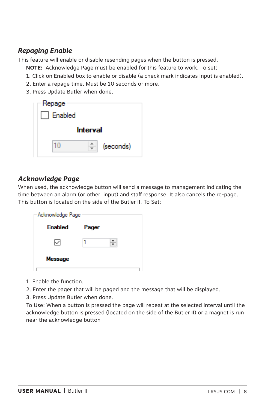# *Repaging Enable*

This feature will enable or disable resending pages when the button is pressed.

**NOTE:** Acknowledge Page must be enabled for this feature to work. To set:

- 1. Click on Enabled box to enable or disable (a check mark indicates input is enabled).
- 2. Enter a repage time. Must be 10 seconds or more.
- 3. Press Update Butler when done.

| - Repage        |           |
|-----------------|-----------|
| <b>Enabled</b>  |           |
| <b>Interval</b> |           |
|                 | (seconds) |

# *Acknowledge Page*

When used, the acknowledge button will send a message to management indicating the time between an alarm (or other input) and staff response. It also cancels the re-page. This button is located on the side of the Butler II. To Set:

| <b>Enabled</b><br>Pager |  |
|-------------------------|--|
|                         |  |
| Message                 |  |

- 1. Enable the function.
- 2. Enter the pager that will be paged and the message that will be displayed.
- 3. Press Update Butler when done.

 To Use: When a button is pressed the page will repeat at the selected interval until the acknowledge button is pressed (located on the side of the Butler II) or a magnet is run near the acknowledge button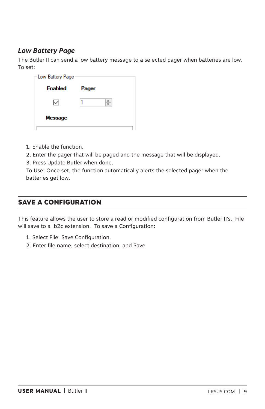# *Low Battery Page*

The Butler II can send a low battery message to a selected pager when batteries are low. To set:

| Low Battery Page |       |  |
|------------------|-------|--|
| <b>Enabled</b>   | Pager |  |
| ∨                |       |  |
| <b>Message</b>   |       |  |
|                  |       |  |

- 1. Enable the function.
- 2. Enter the pager that will be paged and the message that will be displayed.
- 3. Press Update Butler when done.

 To Use: Once set, the function automatically alerts the selected pager when the batteries get low.

# **SAVE A CONFIGURATION**

This feature allows the user to store a read or modified configuration from Butler II's. File will save to a .b2c extension. To save a Configuration:

- 1. Select File, Save Configuration.
- 2. Enter file name, select destination, and Save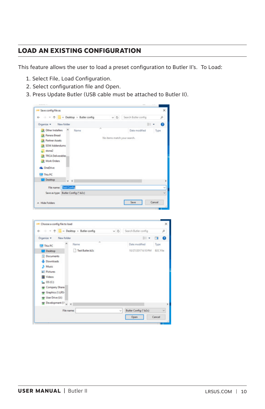# **LOAD AN EXISTING CONFIGURATION**

This feature allows the user to load a preset configuration to Butler II's. To Load:

- 1. Select File, Load Configuration.
- 2. Select configuration file and Open.
- 3. Press Update Butler (USB cable must be attached to Butler II).



Butler Config (".b2c) Open Cancel

File name: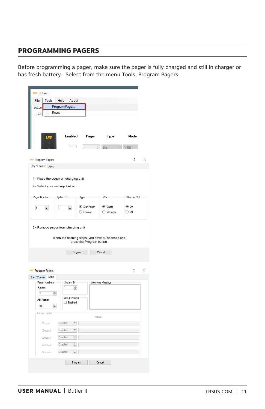# **PROGRAMMING PAGERS**

Before programming a pager, make sure the pager is fully charged and still in charger or has fresh battery. Select from the menu Tools, Program Pagers.

| LRS Butler II                                                                                     |          |
|---------------------------------------------------------------------------------------------------|----------|
| File<br>Tools<br>Help<br>About                                                                    |          |
| Program Pagers<br><b>Buttons</b>                                                                  |          |
| Reset<br>Butto                                                                                    |          |
| <b>Enabled</b><br>Pager<br>Mode<br><b>Type</b><br>LRS                                             |          |
| $1 - \frac{1}{x}$ Star $\sim$<br>1 □<br>VIBE 1                                                    |          |
|                                                                                                   |          |
| ?<br>LRS Program Pagers                                                                           | $\times$ |
| Star / Coaster Alpha                                                                              |          |
|                                                                                                   |          |
| 1 - Place the pager on charging unit                                                              |          |
| 2 - Select your settings below                                                                    |          |
|                                                                                                   |          |
| Pager Number<br>System ID<br>Who<br>Vibe On / Off<br>Type                                         |          |
| Star Pager<br><b>◎</b> Guest<br>$\circledcirc$ On<br>$\div$<br>1<br>$\Rightarrow$<br>$\mathbf{I}$ |          |
| $\bigcirc$ off<br>◯ Coaster<br>◯ Manager                                                          |          |
|                                                                                                   |          |
| When the flashing stops, you have 30 seconds and<br>press the Program button                      |          |
| Program<br>Cancel                                                                                 |          |
| <b>LRS</b> Program Pagers<br>?                                                                    | $\times$ |
| Star / Coaster Alpha                                                                              |          |
| Pager Numbers<br>System ID<br><b>Welcome Message</b>                                              |          |
| 1<br>H<br>Pager:<br>$\div$<br>1                                                                   |          |
| Group Paging<br>All Page:                                                                         |          |
| Enabled<br>911<br>$\div$                                                                          |          |
| Group Paging                                                                                      |          |
| <b>NAME</b>                                                                                       |          |
| Disabled<br>$\frac{1}{\nu}$<br>Group 1:                                                           |          |
|                                                                                                   |          |
| Disabled<br>Group 2:<br>$\hat{\phantom{a}}$                                                       |          |
| Disabled<br>$\frac{1}{\nu}$<br>Group 3:                                                           |          |
| Disabled<br>$\hat{\cdot}$<br>Group 4:                                                             |          |
| Disabled<br>Group 5:<br>$\div$                                                                    |          |
|                                                                                                   |          |
| Cancel<br>Program                                                                                 |          |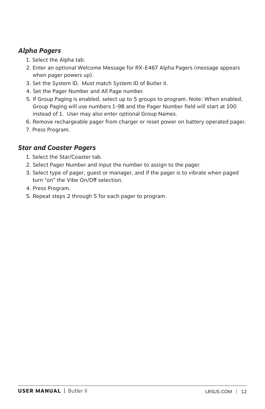# *Alpha Pagers*

- 1. Select the Alpha tab.
- 2. Enter an optional Welcome Message for RX-E467 Alpha Pagers (message appears when pager powers up).
- 3. Set the System ID. Must match System ID of Butler II.
- 4. Set the Pager Number and All Page number.
- 5. If Group Paging is enabled, select up to 5 groups to program. Note: When enabled, Group Paging will use numbers 1-98 and the Pager Number field will start at 100 instead of 1. User may also enter optional Group Names.
- 6. Remove rechargeable pager from charger or reset power on battery operated pager.
- 7. Press Program.

# *Star and Coaster Pagers*

- 1. Select the Star/Coaster tab.
- 2. Select Pager Number and input the number to assign to the pager.
- 3. Select type of pager, guest or manager, and if the pager is to vibrate when paged turn "on" the Vibe On/Off selection.
- 4. Press Program.
- 5. Repeat steps 2 through 5 for each pager to program.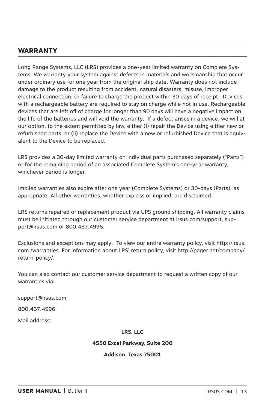# **WARRANTY**

Long Range Systems, LLC (LRS) provides a one-year limited warranty on Complete Systems. We warranty your system against defects in materials and workmanship that occur under ordinary use for one year from the original ship date. Warranty does not include damage to the product resulting from accident, natural disasters, misuse, improper electrical connection, or failure to charge the product within 30 days of receipt. Devices with a rechargeable battery are required to stay on charge while not in use. Rechargeable devices that are left off of charge for longer than 90 days will have a negative impact on the life of the batteries and will void the warranty. If a defect arises in a device, we will at our option, to the extent permitted by law, either (i) repair the Device using either new or refurbished parts, or (ii) replace the Device with a new or refurbished Device that is equivalent to the Device to be replaced.

LRS provides a 30-day limited warranty on individual parts purchased separately ("Parts") or for the remaining period of an associated Complete System's one-year warranty, whichever period is longer.

Implied warranties also expire after one year (Complete Systems) or 30-days (Parts), as appropriate. All other warranties, whether express or implied, are disclaimed.

LRS returns repaired or replacement product via UPS ground shipping. All warranty claims must be initiated through our customer service department at lrsus.com/support, support@lrsus.com or 800.437.4996.

Exclusions and exceptions may apply. To view our entire warranty policy, visit http://lrsus. com /warranties. For information about LRS' return policy, visit http://pager.net/company/ return-policy/.

You can also contact our customer service department to request a written copy of our warranties via:

support@lrsus.com

800.437.4996

Mail address:

#### **LRS, LLC**

#### **4550 Excel Parkway, Suite 200**

#### **Addison, Texas 75001**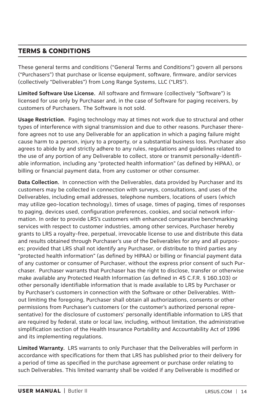# **TERMS & CONDITIONS**

These general terms and conditions ("General Terms and Conditions") govern all persons ("Purchasers") that purchase or license equipment, software, firmware, and/or services (collectively "Deliverables") from Long Range Systems, LLC ("LRS").

**Limited Software Use License.** All software and firmware (collectively "Software") is licensed for use only by Purchaser and, in the case of Software for paging receivers, by customers of Purchasers. The Software is not sold.

**Usage Restriction.** Paging technology may at times not work due to structural and other types of interference with signal transmission and due to other reasons. Purchaser therefore agrees not to use any Deliverable for an application in which a paging failure might cause harm to a person, injury to a property, or a substantial business loss. Purchaser also agrees to abide by and strictly adhere to any rules, regulations and guidelines related to the use of any portion of any Deliverable to collect, store or transmit personally-identifiable information, including any "protected health information" (as defined by HIPAA), or billing or financial payment data, from any customer or other consumer.

**Data Collection.** In connection with the Deliverables, data provided by Purchaser and its customers may be collected in connection with surveys, consultations, and uses of the Deliverables, including email addresses, telephone numbers, locations of users (which may utilize geo-location technology), times of usage, times of paging, times of responses to paging, devices used, configuration preferences, cookies, and social network information. In order to provide LRS's customers with enhanced comparative benchmarking services with respect to customer industries, among other services, Purchaser hereby grants to LRS a royalty-free, perpetual, irrevocable license to use and distribute this data and results obtained through Purchaser's use of the Deliverables for any and all purposes; provided that LRS shall not identify any Purchaser, or distribute to third parties any "protected health information" (as defined by HIPAA) or billing or financial payment data of any customer or consumer of Purchaser, without the express prior consent of such Purchaser. Purchaser warrants that Purchaser has the right to disclose, transfer or otherwise make available any Protected Health Information (as defined in 45 C.F.R. § 160.103) or other personally identifiable information that is made available to LRS by Purchaser or by Purchaser's customers in connection with the Software or other Deliverables. Without limiting the foregoing, Purchaser shall obtain all authorizations, consents or other permissions from Purchaser's customers (or the customer's authorized personal representative) for the disclosure of customers' personally identifiable information to LRS that are required by federal, state or local law, including, without limitation, the administrative simplification section of the Health Insurance Portability and Accountability Act of 1996 and its implementing regulations.

**Limited Warranty.** LRS warrants to only Purchaser that the Deliverables will perform in accordance with specifications for them that LRS has published prior to their delivery for a period of time as specified in the purchase agreement or purchase order relating to such Deliverables. This limited warranty shall be voided if any Deliverable is modified or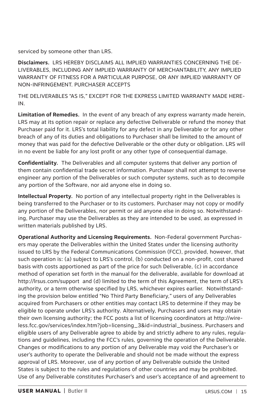serviced by someone other than LRS.

**Disclaimers.** LRS HEREBY DISCLAIMS ALL IMPLIED WARRANTIES CONCERNING THE DE-LIVERABLES, INCLUDING ANY IMPLIED WARRANTY OF MERCHANTABILITY, ANY IMPLIED WARRANTY OF FITNESS FOR A PARTICULAR PURPOSE, OR ANY IMPLIED WARRANTY OF NON-INFRINGEMENT. PURCHASER ACCEPTS

THE DELIVERABLES "AS IS," EXCEPT FOR THE EXPRESS LIMITED WARRANTY MADE HERE-IN.

**Limitation of Remedies.** In the event of any breach of any express warranty made herein, LRS may at its option repair or replace any defective Deliverable or refund the money that Purchaser paid for it. LRS's total liability for any defect in any Deliverable or for any other breach of any of its duties and obligations to Purchaser shall be limited to the amount of money that was paid for the defective Deliverable or the other duty or obligation. LRS will in no event be liable for any lost profit or any other type of consequential damage.

**Confidentiality.** The Deliverables and all computer systems that deliver any portion of them contain confidential trade secret information. Purchaser shall not attempt to reverse engineer any portion of the Deliverables or such computer systems, such as to decompile any portion of the Software, nor aid anyone else in doing so.

**Intellectual Property.** No portion of any intellectual property right in the Deliverables is being transferred to the Purchaser or to its customers. Purchaser may not copy or modify any portion of the Deliverables, nor permit or aid anyone else in doing so. Notwithstanding, Purchaser may use the Deliverables as they are intended to be used, as expressed in written materials published by LRS.

**Operational Authority and Licensing Requirements.** Non-Federal government Purchasers may operate the Deliverables within the United States under the licensing authority issued to LRS by the Federal Communications Commission (FCC), provided, however, that such operation is: (a) subject to LRS's control, (b) conducted on a non-profit, cost shared basis with costs apportioned as part of the price for such Deliverable, (c) in accordance method of operation set forth in the manual for the deliverable, available for download at http://lrsus.com/support and (d) limited to the term of this Agreement, the term of LRS's authority, or a term otherwise specified by LRS, whichever expires earlier. Notwithstanding the provision below entitled "No Third Party Beneficiary," users of any Deliverables acquired from Purchasers or other entities may contact LRS to determine if they may be eligible to operate under LRS's authority. Alternatively, Purchasers and users may obtain their own licensing authority; the FCC posts a list of licensing coordinators at http://wireless.fcc.gov/services/index.htm?job=licensing\_3&id=industrial\_business. Purchasers and eligible users of any Deliverable agree to abide by and strictly adhere to any rules, regulations and guidelines, including the FCC's rules, governing the operation of the Deliverable. Changes or modifications to any portion of any Deliverable may void the Purchaser's or user's authority to operate the Deliverable and should not be made without the express approval of LRS. Moreover, use of any portion of any Deliverable outside the United States is subject to the rules and regulations of other countries and may be prohibited. Use of any Deliverable constitutes Purchaser's and user's acceptance of and agreement to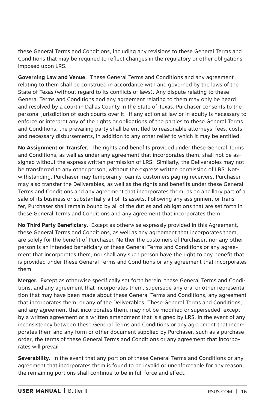these General Terms and Conditions, including any revisions to these General Terms and Conditions that may be required to reflect changes in the regulatory or other obligations imposed upon LRS.

**Governing Law and Venue.** These General Terms and Conditions and any agreement relating to them shall be construed in accordance with and governed by the laws of the State of Texas (without regard to its conflicts of laws). Any dispute relating to these General Terms and Conditions and any agreement relating to them may only be heard and resolved by a court in Dallas County in the State of Texas. Purchaser consents to the personal jurisdiction of such courts over it. If any action at law or in equity is necessary to enforce or interpret any of the rights or obligations of the parties to these General Terms and Conditions, the prevailing party shall be entitled to reasonable attorneys' fees, costs, and necessary disbursements, in addition to any other relief to which it may be entitled.

**No Assignment or Transfer.** The rights and benefits provided under these General Terms and Conditions, as well as under any agreement that incorporates them, shall not be assigned without the express written permission of LRS. Similarly, the Deliverables may not be transferred to any other person, without the express written permission of LRS. Notwithstanding, Purchaser may temporarily loan its customers paging receivers. Purchaser may also transfer the Deliverables, as well as the rights and benefits under these General Terms and Conditions and any agreement that incorporates them, as an ancillary part of a sale of its business or substantially all of its assets. Following any assignment or transfer, Purchaser shall remain bound by all of the duties and obligations that are set forth in these General Terms and Conditions and any agreement that incorporates them.

**No Third Party Beneficiary.** Except as otherwise expressly provided in this Agreement, these General Terms and Conditions, as well as any agreement that incorporates them, are solely for the benefit of Purchaser. Neither the customers of Purchaser, nor any other person is an intended beneficiary of these General Terms and Conditions or any agreement that incorporates them, nor shall any such person have the right to any benefit that is provided under these General Terms and Conditions or any agreement that incorporates them.

**Merger.** Except as otherwise specifically set forth herein, these General Terms and Conditions, and any agreement that incorporates them, supersede any oral or other representation that may have been made about these General Terms and Conditions, any agreement that incorporates them, or any of the Deliverables. These General Terms and Conditions, and any agreement that incorporates them, may not be modified or superseded, except by a written agreement or a written amendment that is signed by LRS. In the event of any inconsistency between these General Terms and Conditions or any agreement that incorporates them and any form or other document supplied by Purchaser, such as a purchase order, the terms of these General Terms and Conditions or any agreement that incorporates will prevail

**Severability.** In the event that any portion of these General Terms and Conditions or any agreement that incorporates them is found to be invalid or unenforceable for any reason, the remaining portions shall continue to be in full force and effect.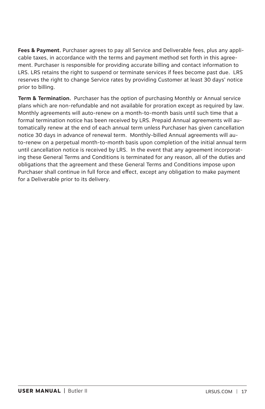**Fees & Payment.** Purchaser agrees to pay all Service and Deliverable fees, plus any applicable taxes, in accordance with the terms and payment method set forth in this agreement. Purchaser is responsible for providing accurate billing and contact information to LRS. LRS retains the right to suspend or terminate services if fees become past due. LRS reserves the right to change Service rates by providing Customer at least 30 days' notice prior to billing.

**Term & Termination.** Purchaser has the option of purchasing Monthly or Annual service plans which are non-refundable and not available for proration except as required by law. Monthly agreements will auto-renew on a month-to-month basis until such time that a formal termination notice has been received by LRS. Prepaid Annual agreements will automatically renew at the end of each annual term unless Purchaser has given cancellation notice 30 days in advance of renewal term. Monthly-billed Annual agreements will auto-renew on a perpetual month-to-month basis upon completion of the initial annual term until cancellation notice is received by LRS. In the event that any agreement incorporating these General Terms and Conditions is terminated for any reason, all of the duties and obligations that the agreement and these General Terms and Conditions impose upon Purchaser shall continue in full force and effect, except any obligation to make payment for a Deliverable prior to its delivery.